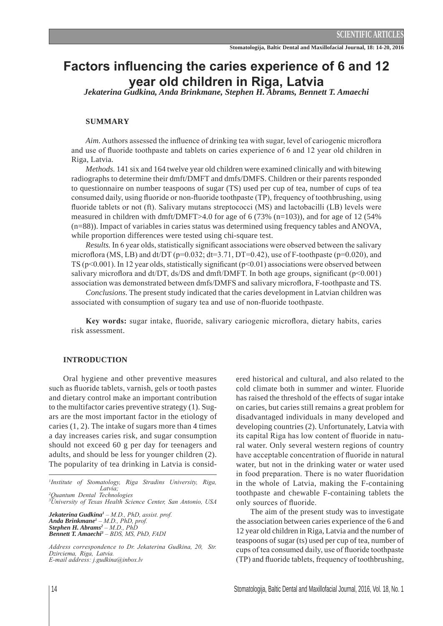# **Factors influencing the caries experience of 6 and 12 \HDUROGFKLOGUHQLQ5LJD/DWYLD** *Jekaterina Gudkina, Anda Brinkmane, Stephen H. Abrams, Bennett T. Amaechi*

# **SUMMARY**

*Aim.* Authors assessed the influence of drinking tea with sugar, level of cariogenic microflora and use of fluoride toothpaste and tablets on caries experience of 6 and 12 year old children in Riga, Latvia.

*Methods.* 141 six and 164 twelve year old children were examined clinically and with bitewing radiographs to determine their dmft/DMFT and dmfs/DMFS. Children or their parents responded to questionnaire on number teaspoons of sugar (TS) used per cup of tea, number of cups of tea consumed daily, using fluoride or non-fluoride toothpaste  $(TP)$ , frequency of toothbrushing, using fluoride tablets or not (ft). Salivary mutans streptococci (MS) and lactobacilli (LB) levels were measured in children with dmft/DMFT>4.0 for age of 6 (73% (n=103)), and for age of 12 (54% (n=88)). Impact of variables in caries status was determined using frequency tables and ANOVA, while proportion differences were tested using chi-square test.

*Results.* In 6 year olds, statistically significant associations were observed between the salivary microflora (MS, LB) and dt/DT ( $p=0.032$ ; dt=3.71, DT=0.42), use of F-toothpaste ( $p=0.020$ ), and TS ( $p$ <0.001). In 12 year olds, statistically significant ( $p$ <0.01) associations were observed between salivary microflora and dt/DT, ds/DS and dmft/DMFT. In both age groups, significant ( $p<0.001$ ) association was demonstrated between dmfs/DMFS and salivary microflora, F-toothpaste and TS.

*Conclusions.* The present study indicated that the caries development in Latvian children was associated with consumption of sugary tea and use of non-fluoride toothpaste.

**Key words:** sugar intake, fluoride, salivary cariogenic microflora, dietary habits, caries risk assessment.

## **INTRODUCTION**

Oral hygiene and other preventive measures such as fluoride tablets, varnish, gels or tooth pastes and dietary control make an important contribution to the multifactor caries preventive strategy (1). Sugars are the most important factor in the etiology of caries  $(1, 2)$ . The intake of sugars more than 4 times a day increases caries risk, and sugar consumption should not exceed 60 g per day for teenagers and adults, and should be less for younger children (2). The popularity of tea drinking in Latvia is consid-

<sup>1</sup>Institute of Stomatology, Riga Stradins University, Riga, *Latvia*. <sup>2</sup>Quantum Dental Technologies

<sup>3</sup>University of Texas Health Science Center, San Antonio, USA

*Jekaterina Gudkina<sup>1</sup>* - M.D., PhD, assist. prof. *Anda Brinkmane<sup>1</sup> – M.D., PhD, prof. Stephen H. Abrams<sup>2</sup>* – *M.D., PhD* **Bennett T. Amaechi<sup>3</sup>** – BDS, MS, PhD, FADI

*Address correspondence to Dr. Jekaterina Gudkina, 20, Str.* Dzirciema, Riga, Latvia.  $E$ -mail address: j.gudkina@inbox.lv

ered historical and cultural, and also related to the cold climate both in summer and winter. Fluoride has raised the threshold of the effects of sugar intake on caries, but caries still remains a great problem for disadvantaged individuals in many developed and developing countries (2). Unfortunately, Latvia with its capital Riga has low content of fluoride in natural water. Only several western regions of country have acceptable concentration of fluoride in natural water, but not in the drinking water or water used in food preparation. There is no water fluoridation in the whole of Latvia, making the F-containing toothpaste and chewable F-containing tablets the only sources of fluoride.

The aim of the present study was to investigate the association between caries experience of the 6 and 12 year old children in Riga, Latvia and the number of teaspoons of sugar (ts) used per cup of tea, number of cups of tea consumed daily, use of fluoride toothpaste (TP) and fluoride tablets, frequency of toothbrushing,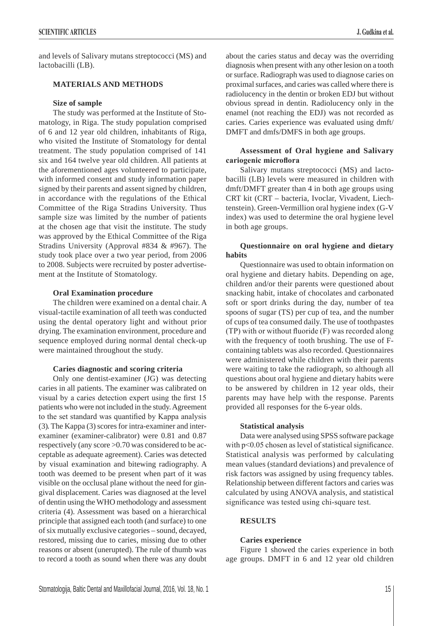and levels of Salivary mutans streptococci (MS) and lactobacilli (LB).

# **MATERIALS AND METHODS**

# **Size of sample**

The study was performed at the Institute of Stomatology, in Riga. The study population comprised of 6 and 12 year old children, inhabitants of Riga, who visited the Institute of Stomatology for dental treatment. The study population comprised of 141 six and 164 twelve year old children. All patients at the aforementioned ages volunteered to participate, with informed consent and study information paper signed by their parents and assent signed by children, in accordance with the regulations of the Ethical Committee of the Riga Stradins University. Thus sample size was limited by the number of patients at the chosen age that visit the institute. The study was approved by the Ethical Committee of the Riga Stradins University (Approval #834 & #967). The study took place over a two year period, from 2006 to 2008. Subjects were recruited by poster advertisement at the Institute of Stomatology.

#### **Oral Examination procedure**

The children were examined on a dental chair. A visual-tactile examination of all teeth was conducted using the dental operatory light and without prior drying. The examination environment, procedure and sequence employed during normal dental check-up were maintained throughout the study.

## **Caries diagnostic and scoring criteria**

Only one dentist-examiner (JG) was detecting caries in all patients. The examiner was calibrated on visual by a caries detection expert using the first 15 patients who were not included in the study. Agreement to the set standard was quantified by Kappa analysis (3). The Kappa (3) scores for intra-examiner and interexaminer (examiner-calibrator) were 0.81 and 0.87 respectively (any score >0.70 was considered to be acceptable as adequate agreement). Caries was detected by visual examination and bitewing radiography. A tooth was deemed to be present when part of it was visible on the occlusal plane without the need for gingival displacement. Caries was diagnosed at the level of dentin using the WHO methodology and assessment criteria (4). Assessment was based on a hierarchical principle that assigned each tooth (and surface) to one of six mutually exclusive categories – sound, decayed, restored, missing due to caries, missing due to other reasons or absent (unerupted). The rule of thumb was to record a tooth as sound when there was any doubt about the caries status and decay was the overriding diagnosis when present with any other lesion on a tooth or surface. Radiograph was used to diagnose caries on proximal surfaces, and caries was called where there is radiolucency in the dentin or broken EDJ but without obvious spread in dentin. Radiolucency only in the enamel (not reaching the EDJ) was not recorded as caries. Caries experience was evaluated using dmft/ DMFT and dmfs/DMFS in both age groups.

# **Assessment of Oral hygiene and Salivary**  cariogenic microflora

Salivary mutans streptococci (MS) and lactobacilli (LB) levels were measured in children with dmft/DMFT greater than 4 in both age groups using CRT kit (CRT – bacteria, Ivoclar, Vivadent, Liechtenstein). Green-Vermillion oral hygiene index (G-V index) was used to determine the oral hygiene level in both age groups.

# **Questionnaire on oral hygiene and dietary habits**

Questionnaire was used to obtain information on oral hygiene and dietary habits. Depending on age, children and/or their parents were questioned about snacking habit, intake of chocolates and carbonated soft or sport drinks during the day, number of tea spoons of sugar (TS) per cup of tea, and the number of cups of tea consumed daily. The use of toothpastes  $(TP)$  with or without fluoride  $(F)$  was recorded along with the frequency of tooth brushing. The use of Fcontaining tablets was also recorded. Questionnaires were administered while children with their parents were waiting to take the radiograph, so although all questions about oral hygiene and dietary habits were to be answered by children in 12 year olds, their parents may have help with the response. Parents provided all responses for the 6-year olds.

#### **Statistical analysis**

Data were analysed using SPSS software package with  $p<0.05$  chosen as level of statistical significance. Statistical analysis was performed by calculating mean values (standard deviations) and prevalence of risk factors was assigned by using frequency tables. Relationship between different factors and caries was calculated by using ANOVA analysis, and statistical significance was tested using chi-square test.

# **RESULTS**

## **Caries experience**

Figure 1 showed the caries experience in both age groups. DMFT in 6 and 12 year old children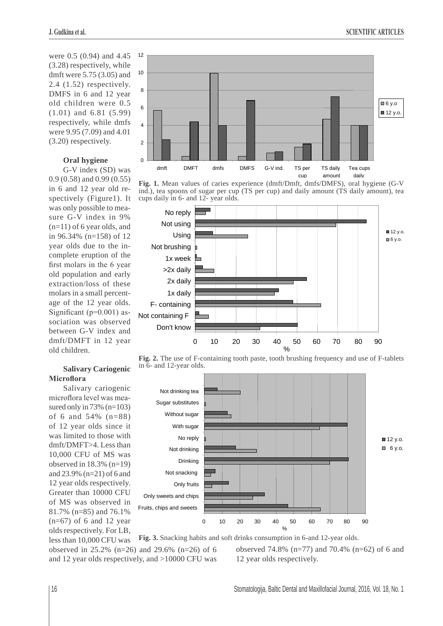were 0.5 (0.94) and 4.45 (3.28) respectively, while dmft were 5.75 (3.05) and 2.4 (1.52) respectively. DMFS in 6 and 12 year old children were 0.5 (1.01) and 6.81 (5.99) respectively, while dmfs were 9.95 (7.09) and 4.01 (3.20) respectively.

# **Oral hygiene**

G-V index (SD) was 0.9 (0.58) and 0.99 (0.55) in 6 and 12 year old respectively (Figure1). It was only possible to measure G-V index in 9%  $(n=11)$  of 6 year olds, and in 96.34% (n=158) of 12 year olds due to the incomplete eruption of the first molars in the 6 year old population and early extraction/loss of these molars in a small percentage of the 12 year olds. Significant ( $p=0.001$ ) association was observed between G-V index and dmft/DMFT in 12 year old children.

# **Salivary Cariogenic Microflora**

Salivary cariogenic microflora level was measured only in  $73\%$  (n=103) of 6 and 54% (n=88) of 12 year olds since it was limited to those with dmft/DMFT>4. Less than 10,000 CFU of MS was observed in  $18.3\%$  (n=19) and 23.9% (n=21) of 6 and 12 year olds respectively. Greater than 10000 CFU of MS was observed in 81.7% (n=85) and 76.1%  $(n=67)$  of 6 and 12 year olds respectively. For LB, less than 10,000 CFU was



**Fig. 1.** Mean values of caries experience (dmft/Dmft, dmfs/DMFS), oral hygiene (G-V ind.), tea spoons of sugar per cup (TS per cup) and daily amount (TS daily amount), tea cups daily in 6- and 12- year olds.



**Fig. 2.** The use of F-containing tooth paste, tooth brushing frequency and use of F-tablets in 6- and 12-year olds.



observed 74.8% (n=77) and 70.4% (n=62) of 6 and 12 year olds respectively. **Fig. 3.** Snacking habits and soft drinks consumption in 6-and 12-year olds. observed in 25.2% (n=26) and 29.6% (n=26) of 6 and 12 year olds respectively, and >10000 CFU was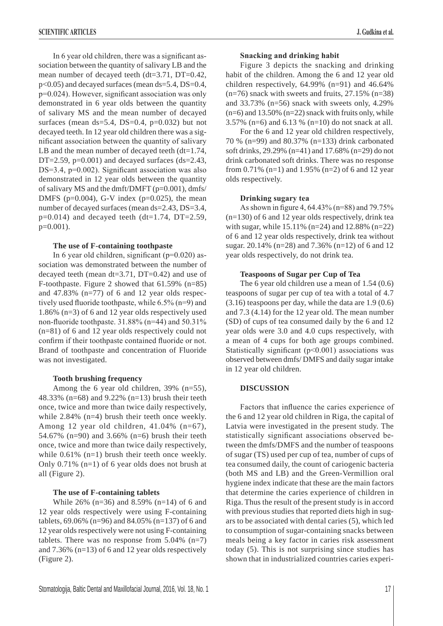In 6 year old children, there was a significant association between the quantity of salivary LB and the mean number of decayed teeth (dt=3.71, DT=0.42, p<0.05) and decayed surfaces (mean ds=5.4, DS=0.4,  $p=0.024$ ). However, significant association was only demonstrated in 6 year olds between the quantity of salivary MS and the mean number of decayed surfaces (mean  $ds=5.4$ , DS=0.4, p=0.032) but not decayed teeth. In 12 year old children there was a significant association between the quantity of salivary LB and the mean number of decayed teeth  $(dt=1.74,$ DT=2.59,  $p=0.001$ ) and decayed surfaces (ds=2.43,  $DS=3.4$ , p=0.002). Significant association was also demonstrated in 12 year olds between the quantity of salivary MS and the dmft/DMFT (p=0.001), dmfs/ DMFS ( $p=0.004$ ), G-V index ( $p=0.025$ ), the mean number of decayed surfaces (mean ds=2.43, DS=3.4,  $p=0.014$ ) and decayed teeth (dt=1.74, DT=2.59, p=0.001).

#### **The use of F-containing toothpaste**

In 6 year old children, significant ( $p=0.020$ ) association was demonstrated between the number of decayed teeth (mean dt=3.71, DT=0.42) and use of F-toothpaste. Figure 2 showed that 61.59% (n=85) and  $47.83\%$  (n=77) of 6 and 12 year olds respectively used fluoride toothpaste, while  $6.5\%$  (n=9) and 1.86% (n=3) of 6 and 12 year olds respectively used non-fluoride toothpaste.  $31.88\%$  (n=44) and  $50.31\%$ (n=81) of 6 and 12 year olds respectively could not confirm if their toothpaste contained fluoride or not. Brand of toothpaste and concentration of Fluoride was not investigated.

#### **Tooth brushing frequency**

Among the 6 year old children, 39% (n=55), 48.33% (n=68) and 9.22% (n=13) brush their teeth once, twice and more than twice daily respectively, while 2.84% (n=4) brush their teeth once weekly. Among 12 year old children, 41.04% (n=67), 54.67% (n=90) and 3.66% (n=6) brush their teeth once, twice and more than twice daily respectively, while  $0.61\%$  (n=1) brush their teeth once weekly. Only 0.71% (n=1) of 6 year olds does not brush at all (Figure 2).

#### **The use of F-containing tablets**

While 26% (n=36) and 8.59% (n=14) of 6 and 12 year olds respectively were using F-containing tablets, 69.06% (n=96) and 84.05% (n=137) of 6 and 12 year olds respectively were not using F-containing tablets. There was no response from 5.04% (n=7) and 7.36% (n=13) of 6 and 12 year olds respectively (Figure 2).

Figure 3 depicts the snacking and drinking habit of the children. Among the 6 and 12 year old children respectively, 64.99% (n=91) and 46.64%  $(n=76)$  snack with sweets and fruits, 27.15%  $(n=38)$ and 33.73% (n=56) snack with sweets only, 4.29%  $(n=6)$  and 13.50%  $(n=22)$  snack with fruits only, while 3.57% (n=6) and 6.13 % (n=10) do not snack at all.

For the 6 and 12 year old children respectively, 70 % (n=99) and 80.37% (n=133) drink carbonated soft drinks, 29.29% (n=41) and 17.68% (n=29) do not drink carbonated soft drinks. There was no response from 0.71% (n=1) and 1.95% (n=2) of 6 and 12 year olds respectively.

#### **Drinking sugary tea**

As shown in figure 4, 64.43% (n=88) and  $79.75%$  $(n=130)$  of 6 and 12 year olds respectively, drink tea with sugar, while 15.11% (n=24) and 12.88% (n=22) of 6 and 12 year olds respectively, drink tea without sugar. 20.14% (n=28) and 7.36% (n=12) of 6 and 12 year olds respectively, do not drink tea.

# **Teaspoons of Sugar per Cup of Tea**

The 6 year old children use a mean of 1.54 (0.6) teaspoons of sugar per cup of tea with a total of 4.7 (3.16) teaspoons per day, while the data are 1.9 (0.6) and 7.3 (4.14) for the 12 year old. The mean number (SD) of cups of tea consumed daily by the 6 and 12 year olds were 3.0 and 4.0 cups respectively, with a mean of 4 cups for both age groups combined. Statistically significant ( $p<0.001$ ) associations was observed between dmfs/ DMFS and daily sugar intake in 12 year old children.

## **DISCUSSION**

Factors that influence the caries experience of the 6 and 12 year old children in Riga, the capital of Latvia were investigated in the present study. The statistically significant associations observed between the dmfs/DMFS and the number of teaspoons of sugar (TS) used per cup of tea, number of cups of tea consumed daily, the count of cariogenic bacteria (both MS and LB) and the Green-Vermillion oral hygiene index indicate that these are the main factors that determine the caries experience of children in Riga. Thus the result of the present study is in accord with previous studies that reported diets high in sugars to be associated with dental caries (5), which led to consumption of sugar-containing snacks between meals being a key factor in caries risk assessment today (5). This is not surprising since studies has shown that in industrialized countries caries experi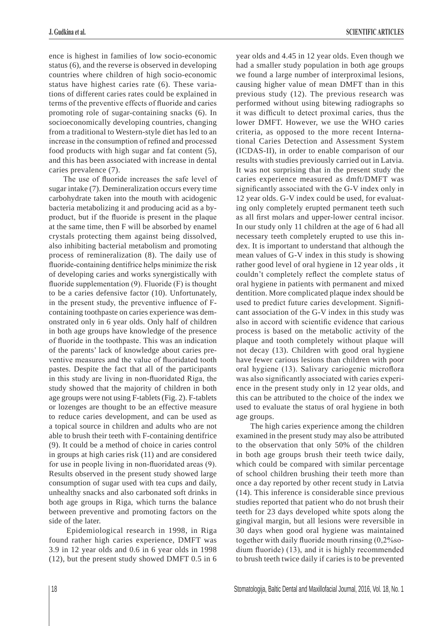ence is highest in families of low socio-economic status (6), and the reverse is observed in developing countries where children of high socio-economic status have highest caries rate (6). These variations of different caries rates could be explained in terms of the preventive effects of fluoride and caries promoting role of sugar-containing snacks (6). In socioeconomically developing countries, changing from a traditional to Western-style diet has led to an increase in the consumption of refined and processed food products with high sugar and fat content (5), and this has been associated with increase in dental caries prevalence (7).

The use of fluoride increases the safe level of sugar intake (7). Demineralization occurs every time carbohydrate taken into the mouth with acidogenic bacteria metabolizing it and producing acid as a byproduct, but if the fluoride is present in the plaque at the same time, then F will be absorbed by enamel crystals protecting them against being dissolved, also inhibiting bacterial metabolism and promoting process of remineralization (8). The daily use of fluoride-containing dentifrice helps minimize the risk of developing caries and works synergistically with fluoride supplementation  $(9)$ . Fluoride  $(F)$  is thought to be a caries defensive factor (10). Unfortunately, in the present study, the preventive influence of Fcontaining toothpaste on caries experience was demonstrated only in 6 year olds. Only half of children in both age groups have knowledge of the presence of fluoride in the toothpaste. This was an indication of the parents' lack of knowledge about caries preventive measures and the value of fluoridated tooth pastes. Despite the fact that all of the participants in this study are living in non-fluoridated Riga, the study showed that the majority of children in both age groups were not using F-tablets (Fig. 2). F-tablets or lozenges are thought to be an effective measure to reduce caries development, and can be used as a topical source in children and adults who are not able to brush their teeth with F-containing dentifrice (9). It could be a method of choice in caries control in groups at high caries risk (11) and are considered for use in people living in non-fluoridated areas  $(9)$ . Results observed in the present study showed large consumption of sugar used with tea cups and daily, unhealthy snacks and also carbonated soft drinks in both age groups in Riga, which turns the balance between preventive and promoting factors on the side of the later.

 Epidemiological research in 1998, in Riga found rather high caries experience, DMFT was 3.9 in 12 year olds and 0.6 in 6 year olds in 1998 (12), but the present study showed DMFT 0.5 in 6 year olds and 4.45 in 12 year olds. Even though we had a smaller study population in both age groups we found a large number of interproximal lesions, causing higher value of mean DMFT than in this previous study (12). The previous research was performed without using bitewing radiographs so it was difficult to detect proximal caries, thus the lower DMFT. However, we use the WHO caries criteria, as opposed to the more recent International Caries Detection and Assessment System (ICDAS-II), in order to enable comparison of our results with studies previously carried out in Latvia. It was not surprising that in the present study the caries experience measured as dmft/DMFT was significantly associated with the G-V index only in 12 year olds. G-V index could be used, for evaluating only completely erupted permanent teeth such as all first molars and upper-lower central incisor. In our study only 11 children at the age of 6 had all necessary teeth completely erupted to use this index. It is important to understand that although the mean values of G-V index in this study is showing rather good level of oral hygiene in 12 year olds , it couldn't completely reflect the complete status of oral hygiene in patients with permanent and mixed dentition. More complicated plaque index should be used to predict future caries development. Significant association of the G-V index in this study was also in accord with scientific evidence that carious process is based on the metabolic activity of the plaque and tooth completely without plaque will not decay (13). Children with good oral hygiene have fewer carious lesions than children with poor oral hygiene (13). Salivary cariogenic microflora was also significantly associated with caries experience in the present study only in 12 year olds, and this can be attributed to the choice of the index we used to evaluate the status of oral hygiene in both age groups.

The high caries experience among the children examined in the present study may also be attributed to the observation that only 50% of the children in both age groups brush their teeth twice daily, which could be compared with similar percentage of school children brushing their teeth more than once a day reported by other recent study in Latvia (14). This inference is considerable since previous studies reported that patient who do not brush their teeth for 23 days developed white spots along the gingival margin, but all lesions were reversible in 30 days when good oral hygiene was maintained together with daily fluoride mouth rinsing  $(0,2\%$ sodium fluoride)  $(13)$ , and it is highly recommended to brush teeth twice daily if caries is to be prevented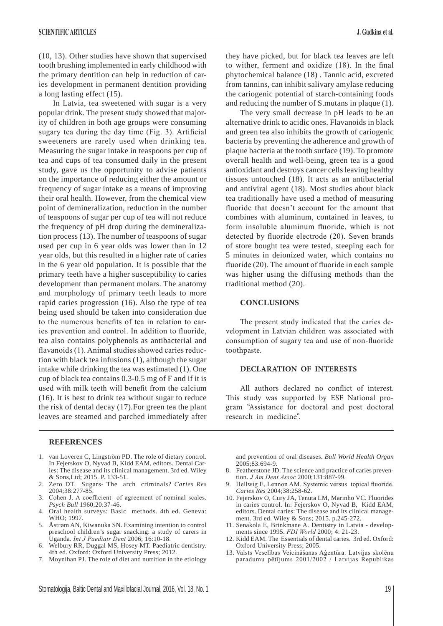(10, 13). Other studies have shown that supervised tooth brushing implemented in early childhood with the primary dentition can help in reduction of caries development in permanent dentition providing

a long lasting effect (15). In Latvia, tea sweetened with sugar is a very popular drink. The present study showed that majority of children in both age groups were consuming sugary tea during the day time (Fig. 3). Artificial sweeteners are rarely used when drinking tea. Measuring the sugar intake in teaspoons per cup of tea and cups of tea consumed daily in the present study, gave us the opportunity to advise patients on the importance of reducing either the amount or frequency of sugar intake as a means of improving their oral health. However, from the chemical view point of demineralization, reduction in the number of teaspoons of sugar per cup of tea will not reduce the frequency of pH drop during the demineralization process (13). The number of teaspoons of sugar used per cup in 6 year olds was lower than in 12 year olds, but this resulted in a higher rate of caries in the 6 year old population. It is possible that the primary teeth have a higher susceptibility to caries development than permanent molars. The anatomy and morphology of primary teeth leads to more rapid caries progression (16). Also the type of tea being used should be taken into consideration due to the numerous benefits of tea in relation to caries prevention and control. In addition to fluoride, tea also contains polyphenols as antibacterial and flavanoids (1). Animal studies showed caries reduction with black tea infusions (1), although the sugar intake while drinking the tea was estimated (1). One cup of black tea contains 0.3-0.5 mg of F and if it is used with milk teeth will benefit from the calcium (16). It is best to drink tea without sugar to reduce the risk of dental decay (17).For green tea the plant leaves are steamed and parched immediately after they have picked, but for black tea leaves are left to wither, ferment and oxidize  $(18)$ . In the final phytochemical balance (18) . Tannic acid, excreted from tannins, can inhibit salivary amylase reducing the cariogenic potential of starch-containing foods and reducing the number of S.mutans in plaque (1).

The very small decrease in pH leads to be an alternative drink to acidic ones. Flavanoids in black and green tea also inhibits the growth of cariogenic bacteria by preventing the adherence and growth of plaque bacteria at the tooth surface (19). To promote overall health and well-being, green tea is a good antioxidant and destroys cancer cells leaving healthy tissues untouched (18). It acts as an antibacterial and antiviral agent (18). Most studies about black tea traditionally have used a method of measuring fluoride that doesn't account for the amount that combines with aluminum, contained in leaves, to form insoluble aluminum fluoride, which is not detected by fluoride electrode (20). Seven brands of store bought tea were tested, steeping each for 5 minutes in deionized water, which contains no fluoride  $(20)$ . The amount of fluoride in each sample was higher using the diffusing methods than the traditional method (20).

## **CONCLUSIONS**

The present study indicated that the caries development in Latvian children was associated with consumption of sugary tea and use of non-fluoride toothpaste.

## **DECLARATION OF INTERESTS**

All authors declared no conflict of interest. This study was supported by ESF National program "Assistance for doctoral and post doctoral research in medicine".

#### **REFERENCES**

- 1. van Loveren C, Lingström PD. The role of dietary control. In Fejerskov O, Nyvad B, Kidd EAM, editors. Dental Caries: The disease and its clinical management. 3rd ed. Wiley & Sons,Ltd; 2015. P. 133-51.
- 2. Zero DT. Sugars- The arch criminals? *Caries Res* 2004;38:277-85.
- 3. Cohen J. A coefficient of agreement of nominal scales. *Psych Bull* 1960;20:37-46.
- 4. Oral health surveys: Basic methods. 4th ed. Geneva: WHO; 1997.
- 5. Åstrøm AN, Kiwanuka SN. Examining intention to control preschool children's sugar snacking: a study of carers in Uganda. *Int J Paediatr Dent* 2006; 16:10-18.
- Welbury RR, Duggal MS, Hosey MT. Paediatric dentistry. 4th ed. Oxford: Oxford University Press; 2012.
- 7. Moynihan PJ. The role of diet and nutrition in the etiology

and prevention of oral diseases. *Bull World Health Organ* 2005;83:694-9.

- 8. Featherstone JD. The science and practice of caries prevention. *J Am Dent Assoc* 2000;131:887-99.
- Hellwig E, Lennon AM. Systemic versus topical fluoride. *Caries Res* 2004;38:258-62.
- 10. Fejerskov O, Cury JA, Tenuta LM, Marinho VC. Fluorides in caries control. In: Fejerskov O, Nyvad B, Kidd EAM, editors. Dental caries: The disease and its clinical management. 3rd ed. Wiley & Sons; 2015. p.245-272.
- 11. Senakola E, Brinkmane A. Dentistry in Latvia developments since 1995. *FDI World* 2000; 4: 21-23.
- 12. Kidd EAM. The Essentials of dental caries. 3rd ed. Oxford: Oxford University Press; 2005.
- 13. Valsts Veselības Veicināšanas Aģentūra. Latvijas skolēnu paradumu pētījums  $2001/2002$  / Latvijas Republikas